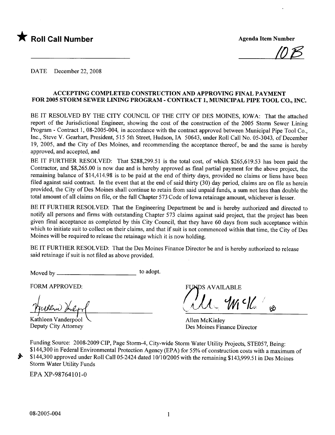

10<sub>1</sub>5

DATE December 22, 2008

#### ACCEPTING COMPLETED CONSTRUCTION AND APPROVING FINAL PAYMENT FOR 2005 STORM SEWER LINING PROGRAM - CONTRACT 1, MUNICIPAL PIPE TOOL CO., INC.

BE IT RESOLVED BY THE CITY COUNCIL OF THE CITY OF DES MOINES, IOWA: That the attached report of the Jurisdictional Engineer, showing the cost of the construction of the 2005 Storm Sewer Lining Program - Contract 1, 08-2005-004, in accordance with the contract approved between Municipal Pipe Tool Co., Inc., Steve V. Gearhart, President, 515 5th Street, Hudson, IA 50643, under Roll Call No. 05-3043, of December 19, 2005, and the City of Des Moines, and recommending the acceptance thereof, be and the same is hereby approved, and accepted, and

BE IT FURTHER RESOLVED: That \$288,299.51 is the total cost, of which \$265,619.53 has been paid the Contractor, and \$8,265.00 is now due and is hereby approved as final partial payment for the above project, the remaining balance of \$14,414.98 is to be paid at the end of thirty days, provided no claims or liens have been filed against said contract. In the event that at the end of said thirty  $(30)$  day period, claims are on file as herein provided, the City of Des Moines shall continue to retain from said unpaid funds, a sum not less than double the total amount of all claims on file, or the full Chapter 573 Code of Iowa retainage amount, whichever is lesser.

BE IT FURTHER RESOLVED: That the Engineering Department be and is hereby authorized and directed to notify all persons and firms with outstanding Chapter 573 claims against said project, that the project has been given final acceptance as completed by this City Council, that they have 60 days from such acceptance within which to initiate suit to collect on their claims, and that if suit is not commenced within that time, the City of Des Moines will be required to release the retainage which it is now holding.

BE IT FURTHER RESOLVED: That the Des Moines Finance Director be and is hereby authorized to release said retainage if suit is not fied as above provided.

Moved by to adopt.

FORM APPROVED:

Kathleen Vanderpool<br>Deputy City Attorney

DS AVAILABLE

 $\bigcup_{\alpha} \mathcal{U}_{\alpha}$   $\mathcal{W}$   $\bigcup_{\alpha} \bigcup_{\alpha}$ 

Allen McKinley Des Moines Finance Director

Funding Source: 2008-2009 CIP, Page Storm-4, City-wide Storm Water Utility Projects, STE057, Being: \$144,300 in Federal Environmental Protection Agency (EPA) for 55% of construction costs with a maximum of \$144,300 approved under Roll Call 05-2424 dated 10/10/2005 with the remaining \$143,999.51 in Des Moines Storm Water Utility Funds

EPA XP-98764101-0

~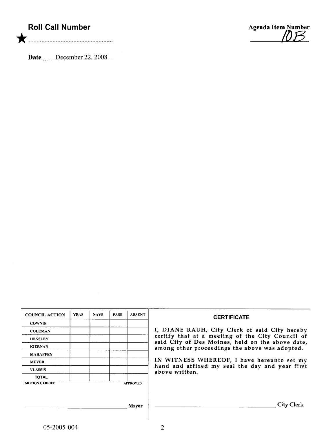## Roll Call Number

Agenda Item Number<br>10B

Date  $\frac{\text{December 22, 2008}}{\text{December 22.2008}}$ 

| <b>COUNCIL ACTION</b> | <b>YEAS</b> | <b>NAYS</b> | <b>PASS</b> | <b>ABSENT</b>   | <b>CERTIFICATE</b>                                                                                   |
|-----------------------|-------------|-------------|-------------|-----------------|------------------------------------------------------------------------------------------------------|
| <b>COWNIE</b>         |             |             |             |                 |                                                                                                      |
| <b>COLEMAN</b>        |             |             |             |                 | I, DIANE RAUH, City Clerk of said City hereby                                                        |
| <b>HENSLEY</b>        |             |             |             |                 | certify that at a meeting of the City Council of<br>said City of Des Moines, held on the above date, |
| <b>KIERNAN</b>        |             |             |             |                 | among other proceedings the above was adopted.                                                       |
| <b>MAHAFFEY</b>       |             |             |             |                 |                                                                                                      |
| <b>MEYER</b>          |             |             |             |                 | IN WITNESS WHEREOF, I have hereunto set my                                                           |
| <b>VLASSIS</b>        |             |             |             |                 | hand and affixed my seal the day and year first<br>above written.                                    |
| <b>TOTAL</b>          |             |             |             |                 |                                                                                                      |
| <b>MOTION CARRIED</b> |             |             |             | <b>APPROVED</b> |                                                                                                      |
|                       |             |             |             |                 |                                                                                                      |
|                       |             |             |             |                 |                                                                                                      |
|                       |             |             |             | <b>Mavor</b>    | <b>City Clerk</b>                                                                                    |
|                       |             |             |             |                 |                                                                                                      |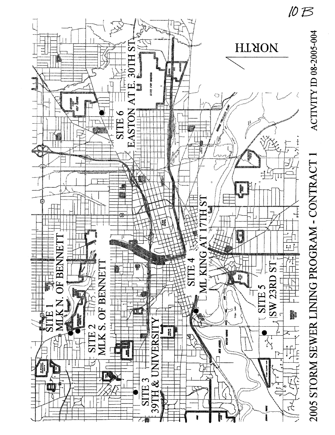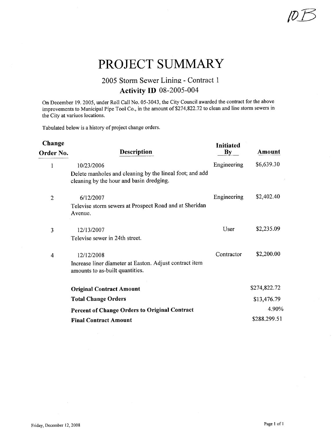# PROJECT SUMMARY

### 2005 Storm Sewer Lining - Contract i Activity ID 08-2005-004

On December 19.2005, under Roll Call No. 05-3043, the City Council awarded the contract for the above improvements to Municipal Pipe Tool Co., in the amount of \$274,822.72 to clean and line storm sewers in the City at variuos locations.

Tabulated below is a history of project change orders.

| Change         |                                                                                                      | <b>Initiated</b>       |              |
|----------------|------------------------------------------------------------------------------------------------------|------------------------|--------------|
| Order No.      | <b>Description</b>                                                                                   | $\mathbf{B}\mathbf{y}$ | Amount       |
| 1              | 10/23/2006                                                                                           | Engineering            | \$6,639.30   |
|                | Delete manholes and cleaning by the lineal foot; and add<br>cleaning by the hour and basin dredging. |                        |              |
| $\overline{2}$ | 6/12/2007                                                                                            | Engineering            | \$2,402.40   |
|                | Televise storm sewers at Prospect Road and at Sheridan<br>Avenue.                                    |                        |              |
| 3              | 12/13/2007                                                                                           | User                   | \$2,235.09   |
|                | Televise sewer in 24th street.                                                                       |                        |              |
| $\overline{4}$ | 12/12/2008                                                                                           | Contractor             | \$2,200.00   |
|                | Increase liner diameter at Easton. Adjust contract item<br>amounts to as-built quantities.           |                        |              |
|                | <b>Original Contract Amount</b>                                                                      |                        | \$274,822.72 |
|                | <b>Total Change Orders</b>                                                                           |                        | \$13,476.79  |
|                | <b>Percent of Change Orders to Original Contract</b>                                                 |                        | 4.90%        |
|                | <b>Final Contract Amount</b>                                                                         |                        | \$288,299.51 |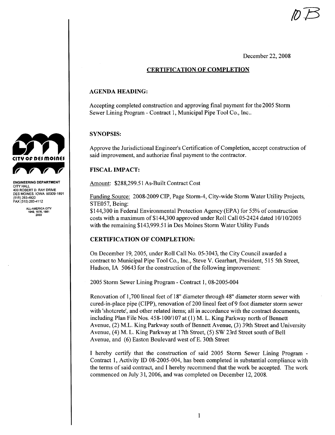December 22, 2008

#### CERTIFICATION OF COMPLETION

#### AGENDA HEADING:

Accepting completed construction and approving final payment for the 2005 Storm Sewer Lining Program - Contract 1, Municipal Pipe Tool Co., Inc..

#### SYNOPSIS:

Approve the Jurisdictional Engineer's Certification of Completion, accept construction of said improvement, and authorize final payment to the contractor.

#### FISCAL IMPACT:

Amount: \$288,299.51 As-Built Contract Cost

Funding Source: 2008-2009 CIP, Page Storm-4, City-wide Storm Water Utility Projects, STE057, Being:

\$144,300 in Federal Environmental Protection Agency (EPA) for 55% of construction costs with a maximum of\$144,300 approved under Roll Call 05-2424 dated 10/10/2005 with the remaining \$143,999.51 in Des Moines Storm Water Utility Funds

#### CERTIFICATION OF COMPLETION:

On December 19,2005, under Roll Call No. 05-3043, the City Council awarded a contract to Municipal Pipe Tool Co., Inc., Steve V. Gearhart, President, 515 5th Street, Hudson, IA 50643 for the construction of the following improvement:

2005 Storm Sewer Lining Program - Contract 1, 08-2005-004

Renovation of 1,700 lineal feet of 18" diameter through 48" diameter storm sewer with cured-in-place pipe (CIPP), renovation of200 lineal feet of9 foot diameter storm sewer with 'shotcrete', and other related items; all in accordance with the contract documents, including Plan File Nos. 458-100/107 at (1) M. L. King Parkway north of Bennett Avenue, (2) M.L. King Parkway south of Bennett Avenue, (3) 39th Street and University Avenue, (4) M. L. King Parkway at 17th Street, (5) SW 23rd Street south of Bell Avenue, and (6) Easton Boulevard west of E. 30th Street

I hereby certify that the construction of said 2005 Storm Sewer Lining Program - Contract 1, Activity ID 08-2005-004, has been completed in substantial compliance with the terms of said contract, and I hereby recommend that the work be accepted. The work commenced on July 31, 2006, and was completed on December 12, 2008.



ENGINEERING DEPARTMENT CITY HALL 400 ROBERT D. RAY DRIVE DES MOINES, IOWA 50309-1891<br>(515) 283-4920 FAX (515) 283-4112

> ALL-AMERICA CITY 1949.1976,1961 2003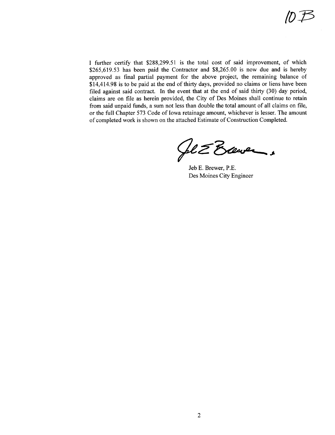I further certify that \$288,299.51 is the total cost of said improvement, of which \$265,619.53 has been paid the Contractor and \$8,265.00 is now due and is hereby approved as final partial payment for the above project, the remaining balance of \$14,414.98 is to be paid at the end of thirty days, provided no claims or liens have been filed against said contract. In the event that at the end of said thirty  $(30)$  day period, claims are on fie as herein provided, the City of Des Moines shall continue to retain from said unpaid funds, a sum not less than double the total amount of all claims on fie, or the full Chapter 573 Code of Iowa retainage amount, whichever is lesser. The amount of completed work is shown on the attached Estimate of Construction Completed.

Get Eleven.

Jeb E. Brewer, P.E. Des Moines City Engineer